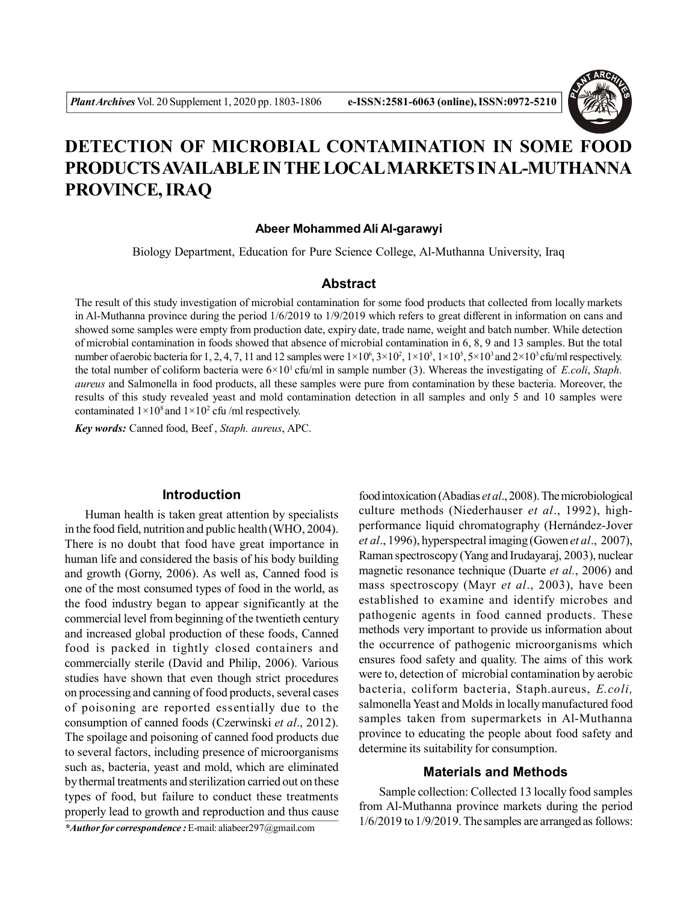

# **DETECTION OF MICROBIAL CONTAMINATION IN SOME FOOD PRODUCTS AVAILABLE IN THE LOCAL MARKETS IN AL-MUTHANNA PROVINCE, IRAQ**

#### **Abeer Mohammed Ali Al-garawyi**

Biology Department, Education for Pure Science College, Al-Muthanna University, Iraq

### **Abstract**

The result of this study investigation of microbial contamination for some food products that collected from locally markets in Al-Muthanna province during the period 1/6/2019 to 1/9/2019 which refers to great different in information on cans and showed some samples were empty from production date, expiry date, trade name, weight and batch number. While detection of microbial contamination in foods showed that absence of microbial contamination in 6, 8, 9 and 13 samples. But the total number of aerobic bacteria for 1, 2, 4, 7, 11 and 12 samples were  $1\times10^6$ ,  $3\times10^2$ ,  $1\times10^5$ ,  $5\times10^3$  and  $2\times10^3$  cfu/ml respectively. the total number of coliform bacteria were  $6 \times 10^{1}$  cfu/ml in sample number (3). Whereas the investigating of *E.coli*, *Staph. aureus* and Salmonella in food products, all these samples were pure from contamination by these bacteria. Moreover, the results of this study revealed yeast and mold contamination detection in all samples and only 5 and 10 samples were contaminated  $1 \times 10^8$  and  $1 \times 10^2$  cfu /ml respectively.

*Key words:* Canned food, Beef , *Staph. aureus*, APC.

# **Introduction**

Human health is taken great attention by specialists in the food field, nutrition and public health (WHO, 2004). There is no doubt that food have great importance in human life and considered the basis of his body building and growth (Gorny, 2006). As well as, Canned food is one of the most consumed types of food in the world, as the food industry began to appear significantly at the commercial level from beginning of the twentieth century and increased global production of these foods, Canned food is packed in tightly closed containers and commercially sterile (David and Philip, 2006). Various studies have shown that even though strict procedures on processing and canning of food products, several cases of poisoning are reported essentially due to the consumption of canned foods (Czerwinski *et al*., 2012). The spoilage and poisoning of canned food products due to several factors, including presence of microorganisms such as, bacteria, yeast and mold, which are eliminated by thermal treatments and sterilization carried out on these types of food, but failure to conduct these treatments properly lead to growth and reproduction and thus cause

food intoxication (Abadias *et al*., 2008). The microbiological culture methods (Niederhauser *et al*., 1992), highperformance liquid chromatography (Hernández-Jover *et al*., 1996), hyperspectral imaging (Gowen *et al*., 2007), Raman spectroscopy (Yang and Irudayaraj, 2003), nuclear magnetic resonance technique (Duarte *et al.*, 2006) and mass spectroscopy (Mayr *et al*., 2003), have been established to examine and identify microbes and pathogenic agents in food canned products. These methods very important to provide us information about the occurrence of pathogenic microorganisms which ensures food safety and quality. The aims of this work were to, detection of microbial contamination by aerobic bacteria, coliform bacteria, Staph.aureus, *E.coli,* salmonella Yeast and Molds in locally manufactured food samples taken from supermarkets in Al-Muthanna province to educating the people about food safety and determine its suitability for consumption.

## **Materials and Methods**

Sample collection: Collected 13 locally food samples from Al-Muthanna province markets during the period 1/6/2019 to 1/9/2019. The samples are arranged as follows:

*\*Author for correspondence :* E-mail: aliabeer297@gmail.com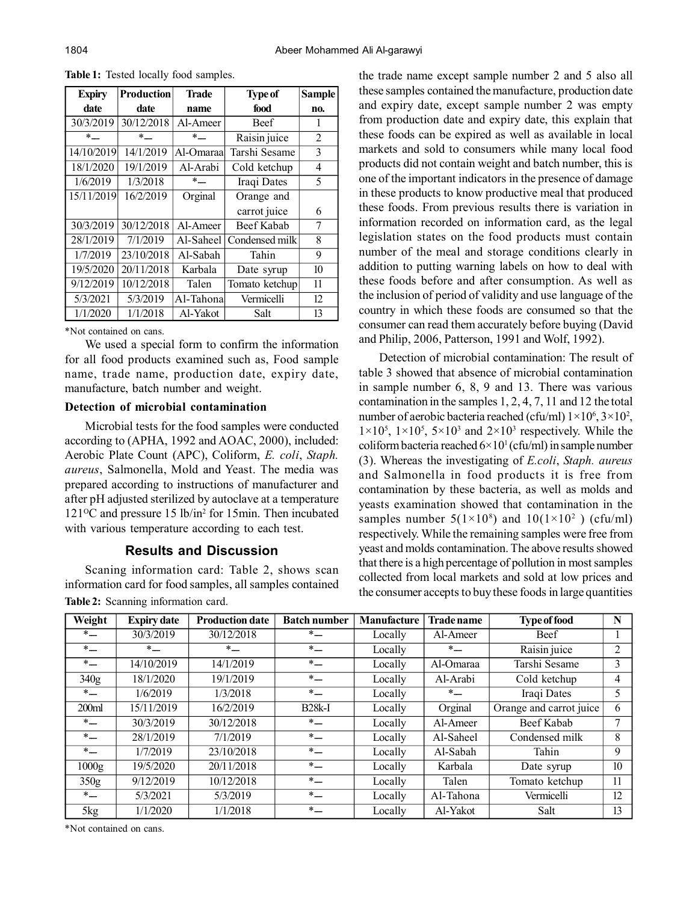| <b>Expiry</b> | <b>Production</b> | <b>Trade</b> | <b>Type of</b> | <b>Sample</b> |  |
|---------------|-------------------|--------------|----------------|---------------|--|
| date          | date              | name         | food           |               |  |
| 30/3/2019     | 30/12/2018        | Al-Ameer     | <b>Beef</b>    | 1             |  |
| $*$           | $*$               | $*$          | Raisin juice   | 2             |  |
| 14/10/2019    | 14/1/2019         | Al-Omaraa    | Tarshi Sesame  | 3             |  |
| 18/1/2020     | 19/1/2019         | Al-Arabi     | Cold ketchup   | 4             |  |
| 1/6/2019      | 1/3/2018          | $*$ —        | Iraqi Dates    | 5             |  |
| 15/11/2019    | 16/2/2019         | Orginal      | Orange and     |               |  |
|               |                   |              | carrot juice   | 6             |  |
| 30/3/2019     | 30/12/2018        | Al-Ameer     | Beef Kabab     | 7             |  |
| 28/1/2019     | 7/1/2019          | Al-Saheel    | Condensed milk | 8             |  |
| 1/7/2019      | 23/10/2018        | Al-Sabah     | Tahin          | 9             |  |
| 19/5/2020     | 20/11/2018        | Karbala      | Date syrup     | 10            |  |
| 9/12/2019     | 10/12/2018        | Talen        | Tomato ketchup | 11            |  |
| 5/3/2021      | 5/3/2019          | Al-Tahona    | Vermicelli     | 12            |  |
| 1/1/2020      | 1/1/2018          | Al-Yakot     | Salt           | 13            |  |

**Table 1:** Tested locally food samples.

\*Not contained on cans.

We used a special form to confirm the information for all food products examined such as, Food sample name, trade name, production date, expiry date, manufacture, batch number and weight.

### **Detection of microbial contamination**

Microbial tests for the food samples were conducted according to (APHA, 1992 and AOAC, 2000), included: Aerobic Plate Count (APC), Coliform, *E. coli*, *Staph. aureus*, Salmonella, Mold and Yeast. The media was prepared according to instructions of manufacturer and after pH adjusted sterilized by autoclave at a temperature 121<sup>o</sup>C and pressure 15 lb/in<sup>2</sup> for 15min. Then incubated with various temperature according to each test.

## **Results and Discussion**

Scaning information card: Table 2, shows scan information card for food samples, all samples contained **Table 2:** Scanning information card.

the trade name except sample number 2 and 5 also all these samples contained the manufacture, production date and expiry date, except sample number 2 was empty from production date and expiry date, this explain that these foods can be expired as well as available in local markets and sold to consumers while many local food products did not contain weight and batch number, this is one of the important indicators in the presence of damage in these products to know productive meal that produced these foods. From previous results there is variation in information recorded on information card, as the legal legislation states on the food products must contain number of the meal and storage conditions clearly in addition to putting warning labels on how to deal with these foods before and after consumption. As well as the inclusion of period of validity and use language of the country in which these foods are consumed so that the consumer can read them accurately before buying (David and Philip, 2006, Patterson, 1991 and Wolf, 1992).

Detection of microbial contamination: The result of table 3 showed that absence of microbial contamination in sample number 6, 8, 9 and 13. There was various contamination in the samples 1, 2, 4, 7, 11 and 12 the total number of aerobic bacteria reached (cfu/ml)  $1\times10^6, 3\times10^2,$  $1 \times 10^5$ ,  $1 \times 10^5$ ,  $5 \times 10^3$  and  $2 \times 10^3$  respectively. While the coliform bacteria reached  $6\times10^{1}$  (cfu/ml) in sample number (3). Whereas the investigating of *E.coli*, *Staph. aureus* and Salmonella in food products it is free from contamination by these bacteria, as well as molds and yeasts examination showed that contamination in the samples number  $5(1\times10^8)$  and  $10(1\times10^2)$  (cfu/ml) respectively. While the remaining samples were free from yeast and molds contamination. The above results showed that there is a high percentage of pollution in most samples collected from local markets and sold at low prices and the consumer accepts to buy these foods in large quantities

| Weight  | <b>Expiry date</b> | <b>Production date</b> | <b>Batch number</b> | Manufacture | <b>Trade name</b>      | <b>Type of food</b>     | N  |
|---------|--------------------|------------------------|---------------------|-------------|------------------------|-------------------------|----|
| $*_{-}$ | 30/3/2019          | 30/12/2018             | $*$                 | Locally     | $\overline{Al}$ -Ameer | Beef                    |    |
| $\ast$  | $*_{--}$           | $*_{-}$                | $*$                 | Locally     | $*$                    | Raisin juice            | 2  |
| $*_{-}$ | 14/10/2019         | 14/1/2019              | $*_{-}$             | Locally     | Al-Omaraa              | Tarshi Sesame           |    |
| 340g    | 18/1/2020          | 19/1/2019              | $*$                 | Locally     | Al-Arabi               | Cold ketchup            | 4  |
| $\ast$  | 1/6/2019           | 1/3/2018               | $*_{-}$             | Locally     | $*_{-}$                | Iraqi Dates             |    |
| 200ml   | 15/11/2019         | 16/2/2019              | $B28k-I$            | Locally     | Orginal                | Orange and carrot juice | 6  |
| $*$     | 30/3/2019          | 30/12/2018             | $*_{-}$             | Locally     | Al-Ameer               | Beef Kabab              |    |
| $*$     | 28/1/2019          | 7/1/2019               | $*$                 | Locally     | Al-Saheel              | Condensed milk          | 8  |
| $*$     | 1/7/2019           | 23/10/2018             | $*_{-}$             | Locally     | Al-Sabah               | Tahin                   | 9  |
| 1000g   | 19/5/2020          | 20/11/2018             | $*$                 | Locally     | Karbala                | Date syrup              | 10 |
| 350g    | 9/12/2019          | 10/12/2018             | $*$                 | Locally     | Talen                  | Tomato ketchup          | 11 |
| $*_{-}$ | 5/3/2021           | 5/3/2019               | $*$                 | Locally     | Al-Tahona              | Vermicelli              | 12 |
| 5kg     | 1/1/2020           | 1/1/2018               | $*_{-}$             | Locally     | Al-Yakot               | Salt                    | 13 |

\*Not contained on cans.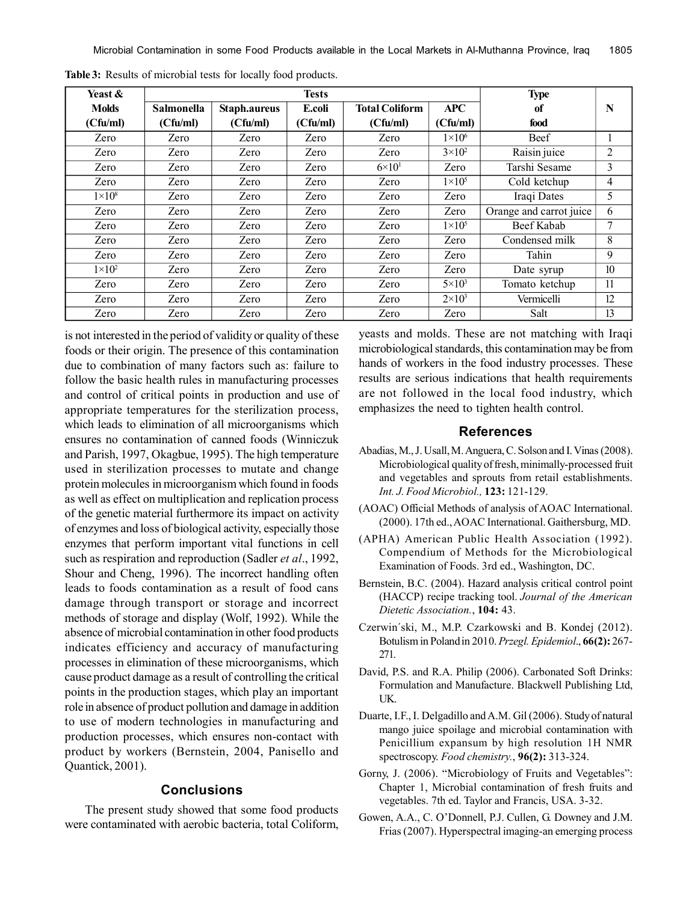| <b>Yeast &amp;</b> | <b>Tests</b> |              |          |                       | <b>Type</b>   |                         |                 |
|--------------------|--------------|--------------|----------|-----------------------|---------------|-------------------------|-----------------|
| <b>Molds</b>       | Salmonella   | Staph.aureus | E.coli   | <b>Total Coliform</b> | APC           | of                      | N               |
| (Ch/ml)            | (Cfu/ml)     | (Cfu/ml)     | (Cfu/ml) | (Ch/ml)               | (Cfu/ml)      | food                    |                 |
| Zero               | Zero         | Zero         | Zero     | Zero                  | $1\times10^6$ | Beef                    |                 |
| Zero               | Zero         | Zero         | Zero     | Zero                  | $3\times10^2$ | Raisin juice            | 2               |
| Zero               | Zero         | Zero         | Zero     | $6\times101$          | Zero          | Tarshi Sesame           | 3               |
| Zero               | Zero         | Zero         | Zero     | Zero                  | $1\times10^5$ | Cold ketchup            | 4               |
| $1\times10^8$      | Zero         | Zero         | Zero     | Zero                  | Zero          | Iraqi Dates             | 5               |
| Zero               | Zero         | Zero         | Zero     | Zero                  | Zero          | Orange and carrot juice | 6               |
| Zero               | Zero         | Zero         | Zero     | Zero                  | $1\times10^5$ | Beef Kabab              | 7               |
| Zero               | Zero         | Zero         | Zero     | Zero                  | Zero          | Condensed milk          | 8               |
| Zero               | Zero         | Zero         | Zero     | Zero                  | Zero          | Tahin                   | 9               |
| $1\times10^2$      | Zero         | Zero         | Zero     | Zero                  | Zero          | Date syrup              | 10 <sup>2</sup> |
| Zero               | Zero         | Zero         | Zero     | Zero                  | $5\times10^3$ | Tomato ketchup          | 11              |
| Zero               | Zero         | Zero         | Zero     | Zero                  | $2\times10^3$ | Vermicelli              | 12              |
| Zero               | Zero         | Zero         | Zero     | Zero                  | Zero          | Salt                    | 13              |

**Table 3:** Results of microbial tests for locally food products.

is not interested in the period of validity or quality of these foods or their origin. The presence of this contamination due to combination of many factors such as: failure to follow the basic health rules in manufacturing processes and control of critical points in production and use of appropriate temperatures for the sterilization process, which leads to elimination of all microorganisms which ensures no contamination of canned foods (Winniczuk and Parish, 1997, Okagbue, 1995). The high temperature used in sterilization processes to mutate and change protein molecules in microorganism which found in foods as well as effect on multiplication and replication process of the genetic material furthermore its impact on activity of enzymes and loss of biological activity, especially those enzymes that perform important vital functions in cell such as respiration and reproduction (Sadler *et al*., 1992, Shour and Cheng, 1996). The incorrect handling often leads to foods contamination as a result of food cans damage through transport or storage and incorrect methods of storage and display (Wolf, 1992). While the absence of microbial contamination in other food products indicates efficiency and accuracy of manufacturing processes in elimination of these microorganisms, which cause product damage as a result of controlling the critical points in the production stages, which play an important role in absence of product pollution and damage in addition to use of modern technologies in manufacturing and production processes, which ensures non-contact with product by workers (Bernstein, 2004, Panisello and Quantick, 2001).

# **Conclusions**

The present study showed that some food products were contaminated with aerobic bacteria, total Coliform, yeasts and molds. These are not matching with Iraqi microbiological standards, this contamination may be from hands of workers in the food industry processes. These results are serious indications that health requirements are not followed in the local food industry, which emphasizes the need to tighten health control.

#### **References**

- Abadias, M., J. Usall, M. Anguera, C. Solson and I. Vinas (2008). Microbiological quality of fresh, minimally-processed fruit and vegetables and sprouts from retail establishments. *Int. J. Food Microbiol.,* **123:** 121-129.
- (AOAC) Official Methods of analysis of AOAC International. (2000). 17th ed., AOAC International. Gaithersburg, MD.
- (APHA) American Public Health Association (1992). Compendium of Methods for the Microbiological Examination of Foods. 3rd ed., Washington, DC.
- Bernstein, B.C. (2004). Hazard analysis critical control point (HACCP) recipe tracking tool. *Journal of the American Dietetic Association.*, **104:** 43.
- Czerwin´ski, M., M.P. Czarkowski and B. Kondej (2012). Botulism in Poland in 2010. *Przegl. Epidemiol*., **66(2):** 267- 271.
- David, P.S. and R.A. Philip (2006). Carbonated Soft Drinks: Formulation and Manufacture. Blackwell Publishing Ltd, UK.
- Duarte, I.F., I. Delgadillo and A.M. Gil (2006). Study of natural mango juice spoilage and microbial contamination with Penicillium expansum by high resolution 1H NMR spectroscopy. *Food chemistry.*, **96(2):** 313-324.
- Gorny, J. (2006). "Microbiology of Fruits and Vegetables": Chapter 1, Microbial contamination of fresh fruits and vegetables. 7th ed. Taylor and Francis, USA. 3-32.
- Gowen, A.A., C. O'Donnell, P.J. Cullen, G. Downey and J.M. Frias (2007). Hyperspectral imaging-an emerging process